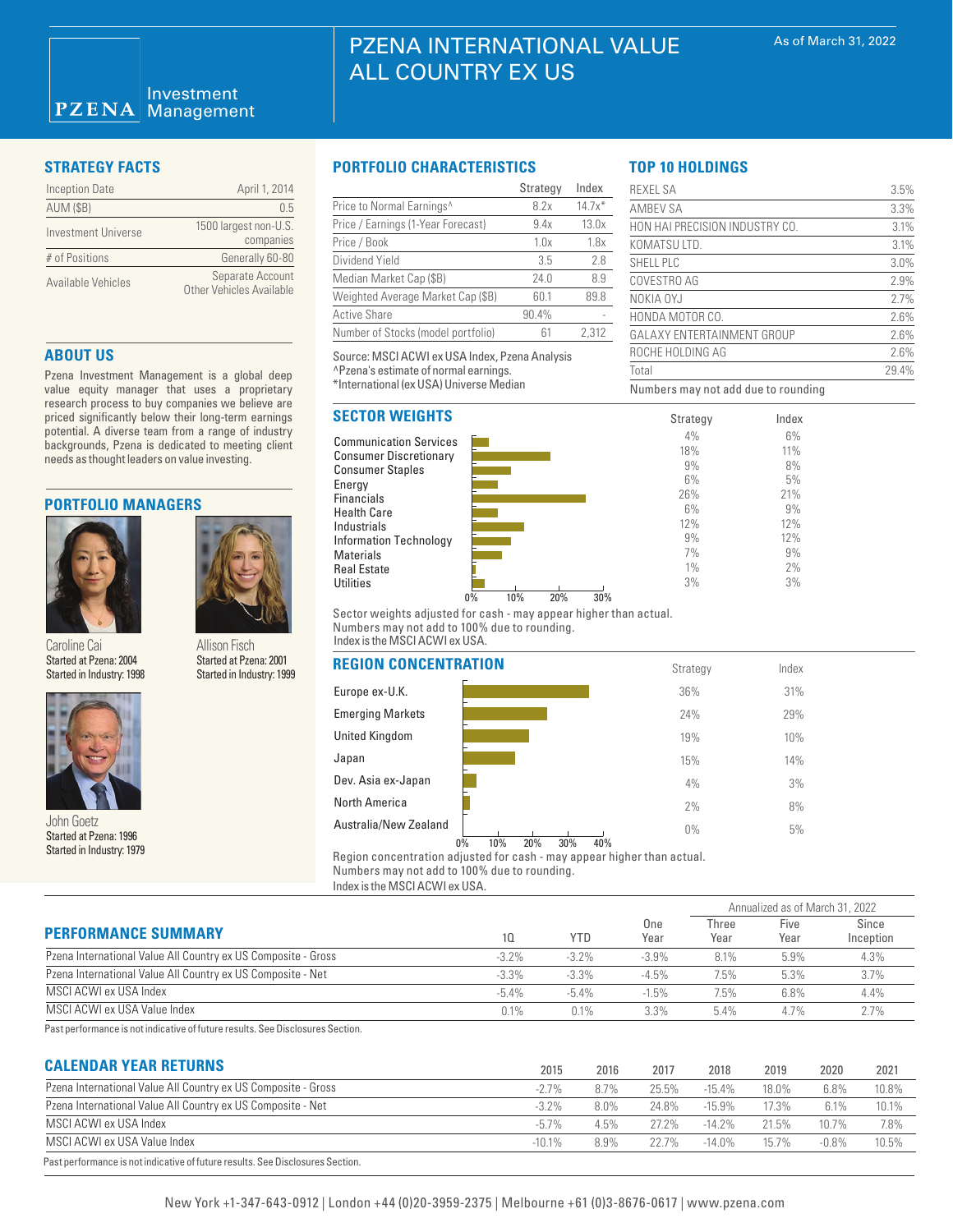# PZENA INTERNATIONAL VALUE ALL COUNTRY EX US

| <b>Inception Date</b> | April 1, 2014                                |
|-----------------------|----------------------------------------------|
| <b>AUM (\$B)</b>      | 0.5                                          |
| Investment Universe   | 1500 largest non-U.S.<br>companies           |
| # of Positions        | Generally 60-80                              |
| Available Vehicles    | Separate Account<br>Other Vehicles Available |

### **ABOUT US**

Pzena Investment Management is a global deep value equity manager that uses a proprietary research process to buy companies we believe are priced significantly below their long-term earnings potential. A diverse team from a range of industry backgrounds, Pzena is dedicated to meeting client needs as thought leaders on value investing.

#### **PORTFOLIO MANAGERS**



Caroline Cai Started at Pzena: 2004





Started at Pzena: 1996 Started in Industry: 1979

### **STRATEGY FACTS PORTFOLIO CHARACTERISTICS**

|                                       | Strategy | Index    |
|---------------------------------------|----------|----------|
| Price to Normal Earnings <sup>^</sup> | 8.2x     | $14.7x*$ |
| Price / Earnings (1-Year Forecast)    | 9.4x     | 13.0x    |
| Price / Book                          | 1.0x     | 1.8x     |
| Dividend Yield                        | 3.5      | 2.8      |
| Median Market Cap (\$B)               | 24.0     | 8.9      |
| Weighted Average Market Cap (\$B)     | 60.1     | 89.8     |
| <b>Active Share</b>                   | 90.4%    |          |
| Number of Stocks (model portfolio)    | 61       | 2.312    |

Source: MSCI ACWI ex USA Index, Pzena Analysis ^Pzena's estimate of normal earnings. \*International (ex USA) Universe Median

## **SECTOR WEIGHTS**

Communication Services Consumer Discretionary Consumer Staples Energy **Financials** Health Care Industrials Information Technology Materials Real Estate **Utilities** 



Sector weights adjusted for cash - may appear higher than actual. Numbers may not add to 100% due to rounding. Index is the MSCI ACWI ex USA.

| Started at Pzena: 2004<br>Started in Industry: 1998 | Started at Pzena: 2001<br>Started in Industry: 1999 | <b>REGION CONCENTRATION</b>                      | Strategy  | Index |  |
|-----------------------------------------------------|-----------------------------------------------------|--------------------------------------------------|-----------|-------|--|
|                                                     |                                                     | Europe ex-U.K.                                   | 36%       | 31%   |  |
|                                                     |                                                     | <b>Emerging Markets</b>                          | 24%       | 29%   |  |
|                                                     |                                                     | United Kingdom                                   | 19%       | 10%   |  |
|                                                     | Japan                                               | 15%                                              | 14%       |       |  |
|                                                     | Dev. Asia ex-Japan                                  | 4%                                               | 3%        |       |  |
|                                                     | North America                                       | 2%                                               | 8%        |       |  |
| John Goetz<br>Started at Pzena: 1996                |                                                     | Australia/New Zealand<br>30%<br>10%<br>20%<br>0% | 0%<br>40% | 5%    |  |

Region concentration adjusted for cash - may appear higher than actual. Numbers may not add to 100% due to rounding.

Index is the MSCI ACWI ex USA.

|                                                               |         |          | Annualized as of March 31, 2022 |               |              |                    |
|---------------------------------------------------------------|---------|----------|---------------------------------|---------------|--------------|--------------------|
| <b>PERFORMANCE SUMMARY</b>                                    | 10      | YTD      | One<br>Year                     | Three<br>Year | Five<br>Year | Since<br>Inception |
| Pzena International Value All Country ex US Composite - Gross | $-3.2%$ | $-3.2\%$ | $-3.9\%$                        | 8.1%          | 5.9%         | 4.3%               |
| Pzena International Value All Country ex US Composite - Net   | $-3.3%$ | $-3.3%$  | $-4.5%$                         | 7.5%          | 5.3%         | 3.7%               |
| MSCI ACWI ex USA Index                                        | $-5.4%$ | $-5.4%$  | $-1.5%$                         | 7.5%          | 6.8%         | 4.4%               |
| MSCI ACWI ex USA Value Index                                  | 0.1%    | 0.1%     | $3.3\%$                         | 5.4%          | 4.7%         | 2.7%               |

Past performance is not indicative of future results. See Disclosures Section.

#### **CALENDAR YEAR RETURNS**

| <u>UALENDAN TEAN NETUNNO</u>                                                   | 2015     | 2016    | 2017     | 2018      | 2019  | 2020     | 2021  |
|--------------------------------------------------------------------------------|----------|---------|----------|-----------|-------|----------|-------|
| Pzena International Value All Country ex US Composite - Gross                  | $-27%$   | 8.7%    | 25.5%    | $-15.4%$  | 18.0% | 6.8%     | 10.8% |
| Pzena International Value All Country ex US Composite - Net                    | $-3.2\%$ | $8.0\%$ | 24 8%    | $-15.9%$  | 17.3% | 6.1%     | 10.1% |
| MSCI ACWI ex USA Index                                                         | $-57%$   | 4.5%    | $27.2\%$ | $-14.2\%$ | 21.5% | $10.7\%$ | 7.8%  |
| MSCI ACWI ex USA Value Index                                                   | $-101\%$ | 8.9%    | 227%     | $-14.0\%$ | 157%  | $-0.8\%$ | 10.5% |
| Past performance is not indicative of future results. See Disclosures Section. |          |         |          |           |       |          |       |

## **TOP 10 HOLDINGS**

| <b>REXEL SA</b>                         | 3.5%  |
|-----------------------------------------|-------|
| <b>AMBEV SA</b>                         | 3.3%  |
| HON HAI PRECISION INDUSTRY CO.          | 3.1%  |
| KOMATSU LTD.                            | 3.1%  |
| SHELL PLC                               | 3.0%  |
| COVESTRO AG                             | 2.9%  |
| NOKIA OYJ                               | 2.7%  |
| HONDA MOTOR CO.                         | 2.6%  |
| GALAXY ENTERTAINMENT GROUP              | 2.6%  |
| ROCHE HOLDING AG                        | 2.6%  |
| Total                                   | 29.4% |
| $N$ phonon mass not add duate variading |       |

6% 11% 8% 5% 21% 9% 12% 12% 9% 2% 3%

Numbers may not add due to rounding